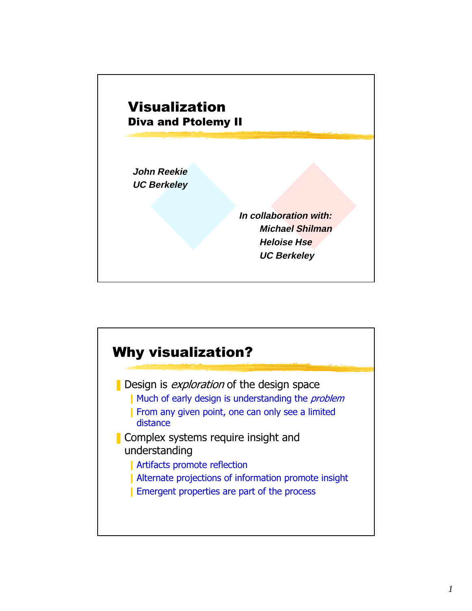

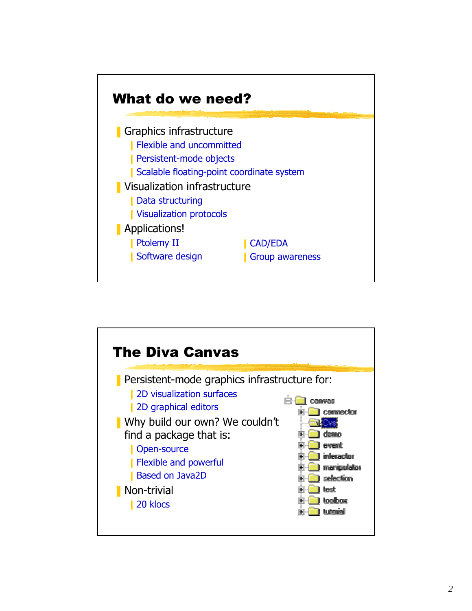

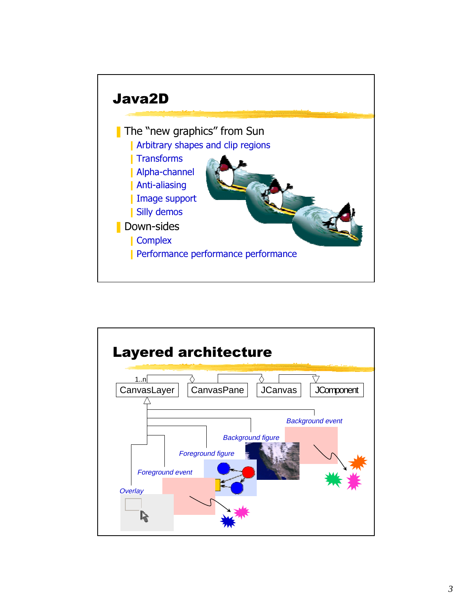

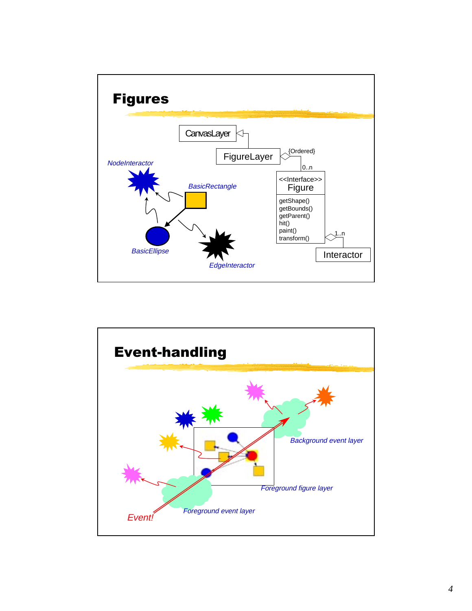

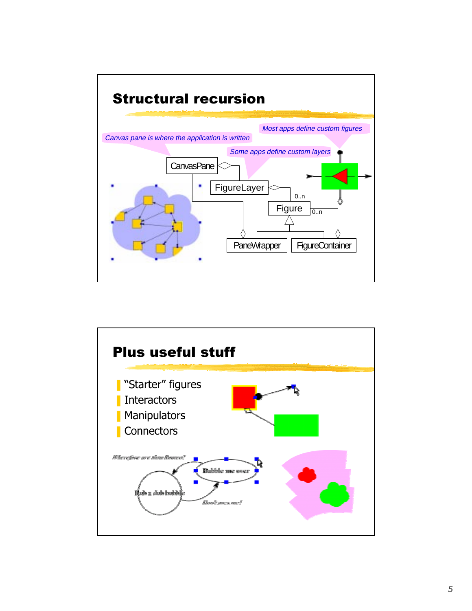

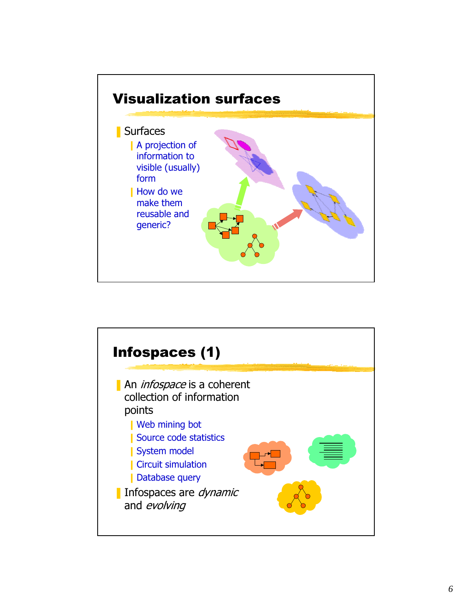

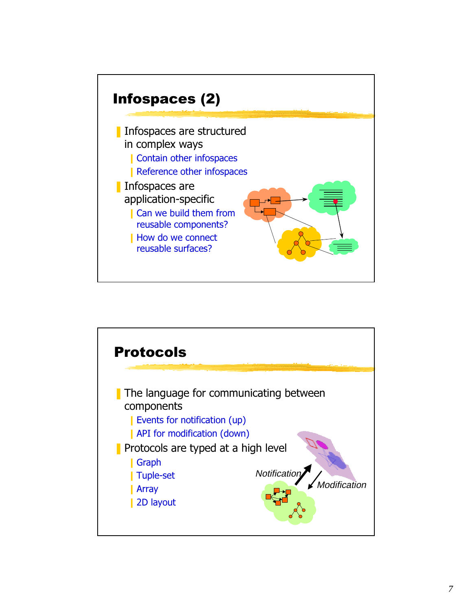

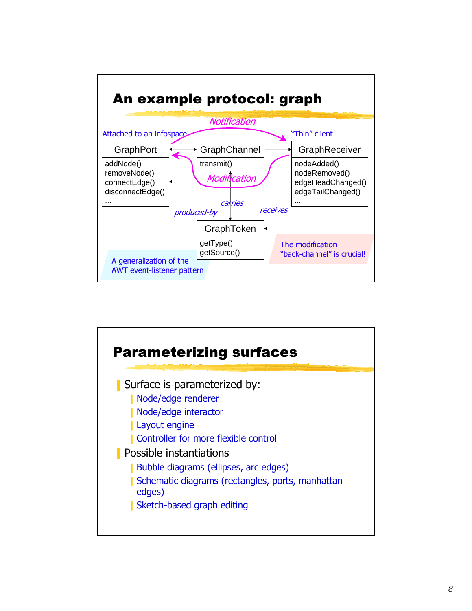